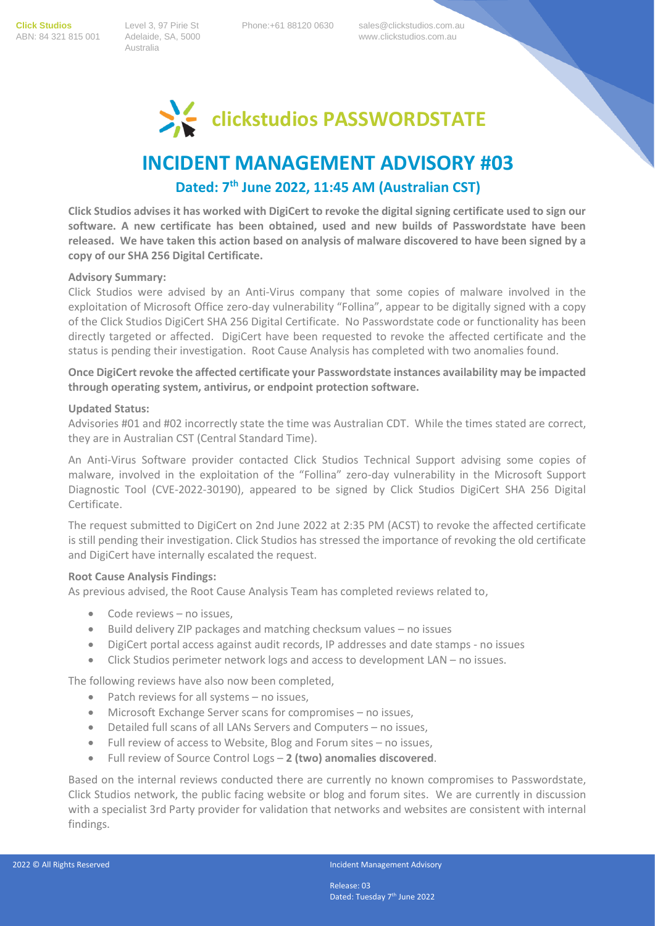**Click Studios** Level 3, 97 Pirie St Phone:+61 88120 0630 sales@clickstudios.com.au Australia

ABN: 84 321 815 001 Adelaide, SA, 5000 www.clickstudios.com.au



# **INCIDENT MANAGEMENT ADVISORY #03**

## **Dated: 7 th June 2022, 11:45 AM (Australian CST)**

**Click Studios advises it has worked with DigiCert to revoke the digital signing certificate used to sign our software. A new certificate has been obtained, used and new builds of Passwordstate have been released. We have taken this action based on analysis of malware discovered to have been signed by a copy of our SHA 256 Digital Certificate.** 

### **Advisory Summary:**

Click Studios were advised by an Anti-Virus company that some copies of malware involved in the exploitation of Microsoft Office zero-day vulnerability "Follina", appear to be digitally signed with a copy of the Click Studios DigiCert SHA 256 Digital Certificate. No Passwordstate code or functionality has been directly targeted or affected. DigiCert have been requested to revoke the affected certificate and the status is pending their investigation. Root Cause Analysis has completed with two anomalies found.

**Once DigiCert revoke the affected certificate your Passwordstate instances availability may be impacted through operating system, antivirus, or endpoint protection software.**

### **Updated Status:**

Advisories #01 and #02 incorrectly state the time was Australian CDT. While the times stated are correct, they are in Australian CST (Central Standard Time).

An Anti-Virus Software provider contacted Click Studios Technical Support advising some copies of malware, involved in the exploitation of the "Follina" zero-day vulnerability in the Microsoft Support Diagnostic Tool (CVE-2022-30190), appeared to be signed by Click Studios DigiCert SHA 256 Digital Certificate.

The request submitted to DigiCert on 2nd June 2022 at 2:35 PM (ACST) to revoke the affected certificate is still pending their investigation. Click Studios has stressed the importance of revoking the old certificate and DigiCert have internally escalated the request.

### **Root Cause Analysis Findings:**

As previous advised, the Root Cause Analysis Team has completed reviews related to,

- Code reviews no issues,
- Build delivery ZIP packages and matching checksum values no issues
- DigiCert portal access against audit records, IP addresses and date stamps no issues
- Click Studios perimeter network logs and access to development LAN no issues.

The following reviews have also now been completed,

- Patch reviews for all systems no issues,
- Microsoft Exchange Server scans for compromises no issues,
- Detailed full scans of all LANs Servers and Computers no issues,
- Full review of access to Website, Blog and Forum sites no issues,
- Full review of Source Control Logs **2 (two) anomalies discovered**.

Based on the internal reviews conducted there are currently no known compromises to Passwordstate, Click Studios network, the public facing website or blog and forum sites. We are currently in discussion with a specialist 3rd Party provider for validation that networks and websites are consistent with internal findings.

Release: 03 Dated: Tuesday 7<sup>th</sup> June 2022